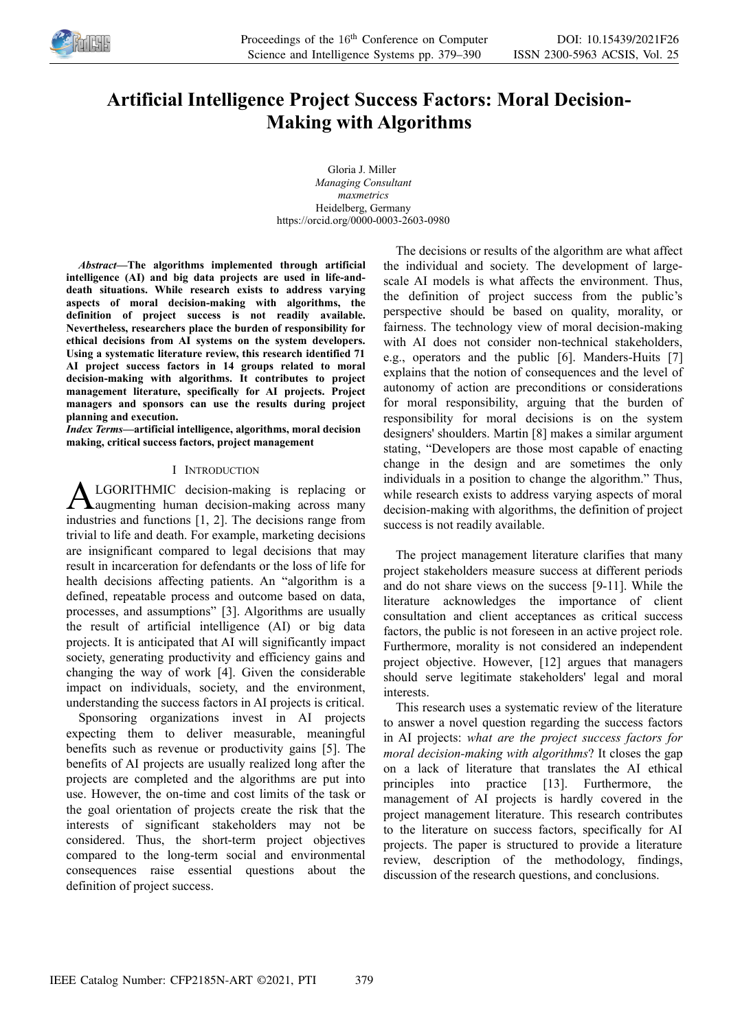

# **Artificial Intelligence Project Success Factors: Moral Decision-Making with Algorithms**

Gloria J. Miller *Managing Consultant maxmetrics* Heidelberg, Germany https://orcid.org/0000-0003-2603-0980

*Abstract—***The algorithms implemented through artificial intelligence (AI) and big data projects are used in life-anddeath situations. While research exists to address varying aspects of moral decision-making with algorithms, the definition of project success is not readily available. Nevertheless, researchers place the burden of responsibility for ethical decisions from AI systems on the system developers. Using a systematic literature review, this research identified 71 AI project success factors in 14 groups related to moral decision-making with algorithms. It contributes to project management literature, specifically for AI projects. Project managers and sponsors can use the results during project planning and execution.**

*Index Terms***—artificial intelligence, algorithms, moral decision making, critical success factors, project management**

# I INTRODUCTION

LGORITHMIC decision-making is replacing or augmenting human decision-making across many **ALGORITHMIC** decision-making is replacing or all augmenting human decision-making across many industries and functions [1, 2]. The decisions range from trivial to life and death. For example, marketing decisions are insignificant compared to legal decisions that may result in incarceration for defendants or the loss of life for health decisions affecting patients. An "algorithm is a defined, repeatable process and outcome based on data, processes, and assumptions" [3]. Algorithms are usually the result of artificial intelligence (AI) or big data projects. It is anticipated that AI will significantly impact society, generating productivity and efficiency gains and changing the way of work [4]. Given the considerable impact on individuals, society, and the environment, understanding the success factors in AI projects is critical.

Sponsoring organizations invest in AI projects expecting them to deliver measurable, meaningful benefits such as revenue or productivity gains [5]. The benefits of AI projects are usually realized long after the projects are completed and the algorithms are put into use. However, the on-time and cost limits of the task or the goal orientation of projects create the risk that the interests of significant stakeholders may not be considered. Thus, the short-term project objectives compared to the long-term social and environmental consequences raise essential questions about the definition of project success.

The decisions or results of the algorithm are what affect the individual and society. The development of largescale AI models is what affects the environment. Thus, the definition of project success from the public's perspective should be based on quality, morality, or fairness. The technology view of moral decision-making with AI does not consider non-technical stakeholders, e.g., operators and the public [6]. Manders-Huits [7] explains that the notion of consequences and the level of autonomy of action are preconditions or considerations for moral responsibility, arguing that the burden of responsibility for moral decisions is on the system designers' shoulders. Martin [8] makes a similar argument stating, "Developers are those most capable of enacting change in the design and are sometimes the only individuals in a position to change the algorithm." Thus, while research exists to address varying aspects of moral decision-making with algorithms, the definition of project success is not readily available.

The project management literature clarifies that many project stakeholders measure success at different periods and do not share views on the success [9-11]. While the literature acknowledges the importance of client consultation and client acceptances as critical success factors, the public is not foreseen in an active project role. Furthermore, morality is not considered an independent project objective. However, [12] argues that managers should serve legitimate stakeholders' legal and moral interests.

This research uses a systematic review of the literature to answer a novel question regarding the success factors in AI projects: *what are the project success factors for moral decision-making with algorithms*? It closes the gap on a lack of literature that translates the AI ethical principles into practice [13]. Furthermore, the management of AI projects is hardly covered in the project management literature. This research contributes to the literature on success factors, specifically for AI projects. The paper is structured to provide a literature review, description of the methodology, findings, discussion of the research questions, and conclusions.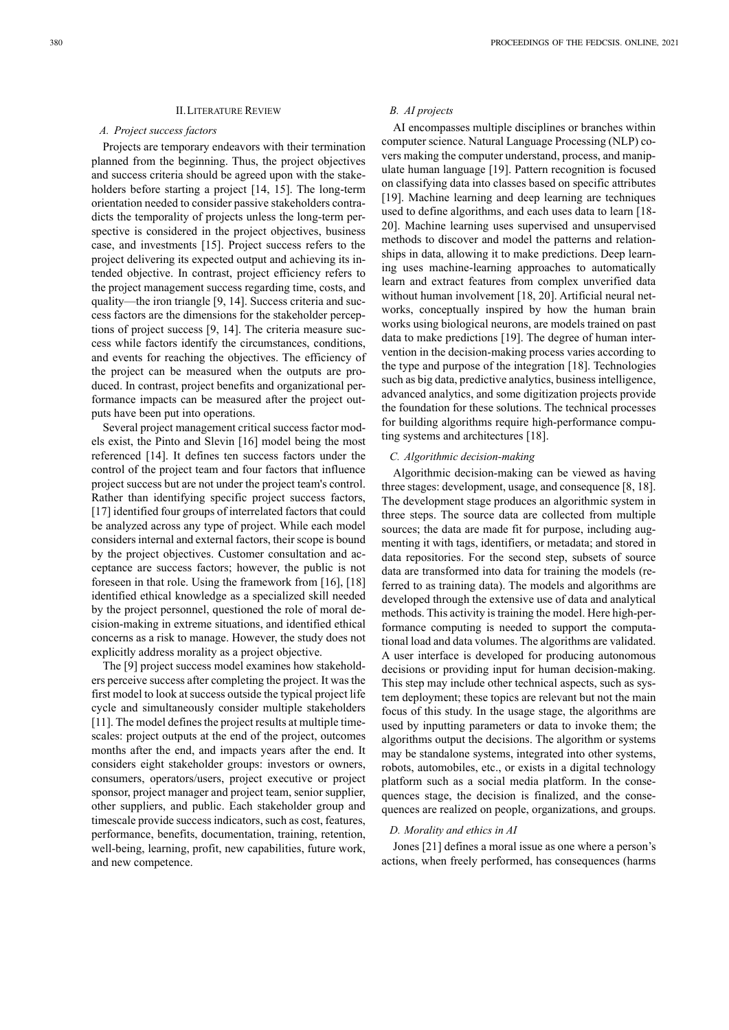#### II.LITERATURE REVIEW

#### *A. Project success factors*

Projects are temporary endeavors with their termination planned from the beginning. Thus, the project objectives and success criteria should be agreed upon with the stakeholders before starting a project [14, 15]. The long-term orientation needed to consider passive stakeholders contradicts the temporality of projects unless the long-term perspective is considered in the project objectives, business case, and investments [15]. Project success refers to the project delivering its expected output and achieving its intended objective. In contrast, project efficiency refers to the project management success regarding time, costs, and quality—the iron triangle [9, 14]. Success criteria and success factors are the dimensions for the stakeholder perceptions of project success [9, 14]. The criteria measure success while factors identify the circumstances, conditions, and events for reaching the objectives. The efficiency of the project can be measured when the outputs are produced. In contrast, project benefits and organizational performance impacts can be measured after the project outputs have been put into operations.

Several project management critical success factor models exist, the Pinto and Slevin [16] model being the most referenced [14]. It defines ten success factors under the control of the project team and four factors that influence project success but are not under the project team's control. Rather than identifying specific project success factors, [17] identified four groups of interrelated factors that could be analyzed across any type of project. While each model considers internal and external factors, their scope is bound by the project objectives. Customer consultation and acceptance are success factors; however, the public is not foreseen in that role. Using the framework from [16], [18] identified ethical knowledge as a specialized skill needed by the project personnel, questioned the role of moral decision-making in extreme situations, and identified ethical concerns as a risk to manage. However, the study does not explicitly address morality as a project objective.

The [9] project success model examines how stakeholders perceive success after completing the project. It was the first model to look at success outside the typical project life cycle and simultaneously consider multiple stakeholders [11]. The model defines the project results at multiple timescales: project outputs at the end of the project, outcomes months after the end, and impacts years after the end. It considers eight stakeholder groups: investors or owners, consumers, operators/users, project executive or project sponsor, project manager and project team, senior supplier, other suppliers, and public. Each stakeholder group and timescale provide success indicators, such as cost, features, performance, benefits, documentation, training, retention, well-being, learning, profit, new capabilities, future work, and new competence.

# *B. AI projects*

AI encompasses multiple disciplines or branches within computer science. Natural Language Processing (NLP) covers making the computer understand, process, and manipulate human language [19]. Pattern recognition is focused on classifying data into classes based on specific attributes [19]. Machine learning and deep learning are techniques used to define algorithms, and each uses data to learn [18- 20]. Machine learning uses supervised and unsupervised methods to discover and model the patterns and relationships in data, allowing it to make predictions. Deep learning uses machine-learning approaches to automatically learn and extract features from complex unverified data without human involvement [18, 20]. Artificial neural networks, conceptually inspired by how the human brain works using biological neurons, are models trained on past data to make predictions [19]. The degree of human intervention in the decision-making process varies according to the type and purpose of the integration [18]. Technologies such as big data, predictive analytics, business intelligence, advanced analytics, and some digitization projects provide the foundation for these solutions. The technical processes for building algorithms require high-performance computing systems and architectures [18].

## *C. Algorithmic decision-making*

Algorithmic decision-making can be viewed as having three stages: development, usage, and consequence [8, 18]. The development stage produces an algorithmic system in three steps. The source data are collected from multiple sources; the data are made fit for purpose, including augmenting it with tags, identifiers, or metadata; and stored in data repositories. For the second step, subsets of source data are transformed into data for training the models (referred to as training data). The models and algorithms are developed through the extensive use of data and analytical methods. This activity is training the model. Here high-performance computing is needed to support the computational load and data volumes. The algorithms are validated. A user interface is developed for producing autonomous decisions or providing input for human decision-making. This step may include other technical aspects, such as system deployment; these topics are relevant but not the main focus of this study. In the usage stage, the algorithms are used by inputting parameters or data to invoke them; the algorithms output the decisions. The algorithm or systems may be standalone systems, integrated into other systems, robots, automobiles, etc., or exists in a digital technology platform such as a social media platform. In the consequences stage, the decision is finalized, and the consequences are realized on people, organizations, and groups.

## *D. Morality and ethics in AI*

Jones [21] defines a moral issue as one where a person's actions, when freely performed, has consequences (harms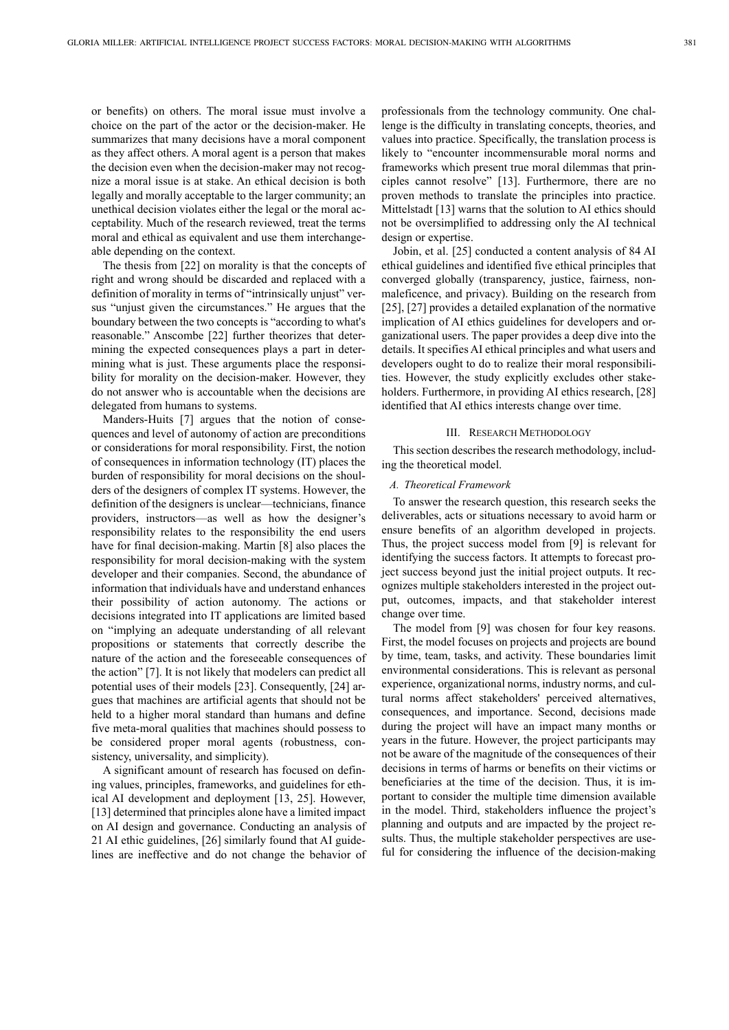or benefits) on others. The moral issue must involve a choice on the part of the actor or the decision-maker. He summarizes that many decisions have a moral component as they affect others. A moral agent is a person that makes the decision even when the decision-maker may not recognize a moral issue is at stake. An ethical decision is both legally and morally acceptable to the larger community; an unethical decision violates either the legal or the moral acceptability. Much of the research reviewed, treat the terms moral and ethical as equivalent and use them interchangeable depending on the context.

The thesis from [22] on morality is that the concepts of right and wrong should be discarded and replaced with a definition of morality in terms of "intrinsically unjust" versus "unjust given the circumstances." He argues that the boundary between the two concepts is "according to what's reasonable." Anscombe [22] further theorizes that determining the expected consequences plays a part in determining what is just. These arguments place the responsibility for morality on the decision-maker. However, they do not answer who is accountable when the decisions are delegated from humans to systems.

Manders-Huits [7] argues that the notion of consequences and level of autonomy of action are preconditions or considerations for moral responsibility. First, the notion of consequences in information technology (IT) places the burden of responsibility for moral decisions on the shoulders of the designers of complex IT systems. However, the definition of the designers is unclear—technicians, finance providers, instructors—as well as how the designer's responsibility relates to the responsibility the end users have for final decision-making. Martin [8] also places the responsibility for moral decision-making with the system developer and their companies. Second, the abundance of information that individuals have and understand enhances their possibility of action autonomy. The actions or decisions integrated into IT applications are limited based on "implying an adequate understanding of all relevant propositions or statements that correctly describe the nature of the action and the foreseeable consequences of the action" [7]. It is not likely that modelers can predict all potential uses of their models [23]. Consequently, [24] argues that machines are artificial agents that should not be held to a higher moral standard than humans and define five meta-moral qualities that machines should possess to be considered proper moral agents (robustness, consistency, universality, and simplicity).

A significant amount of research has focused on defining values, principles, frameworks, and guidelines for ethical AI development and deployment [13, 25]. However, [13] determined that principles alone have a limited impact on AI design and governance. Conducting an analysis of 21 AI ethic guidelines, [26] similarly found that AI guidelines are ineffective and do not change the behavior of professionals from the technology community. One challenge is the difficulty in translating concepts, theories, and values into practice. Specifically, the translation process is likely to "encounter incommensurable moral norms and frameworks which present true moral dilemmas that principles cannot resolve" [13]. Furthermore, there are no proven methods to translate the principles into practice. Mittelstadt [13] warns that the solution to AI ethics should not be oversimplified to addressing only the AI technical design or expertise.

Jobin, et al. [25] conducted a content analysis of 84 AI ethical guidelines and identified five ethical principles that converged globally (transparency, justice, fairness, nonmaleficence, and privacy). Building on the research from [25], [27] provides a detailed explanation of the normative implication of AI ethics guidelines for developers and organizational users. The paper provides a deep dive into the details. It specifies AI ethical principles and what users and developers ought to do to realize their moral responsibilities. However, the study explicitly excludes other stakeholders. Furthermore, in providing AI ethics research, [28] identified that AI ethics interests change over time.

# III. RESEARCH METHODOLOGY

This section describes the research methodology, including the theoretical model.

#### *A. Theoretical Framework*

To answer the research question, this research seeks the deliverables, acts or situations necessary to avoid harm or ensure benefits of an algorithm developed in projects. Thus, the project success model from [9] is relevant for identifying the success factors. It attempts to forecast project success beyond just the initial project outputs. It recognizes multiple stakeholders interested in the project output, outcomes, impacts, and that stakeholder interest change over time.

The model from [9] was chosen for four key reasons. First, the model focuses on projects and projects are bound by time, team, tasks, and activity. These boundaries limit environmental considerations. This is relevant as personal experience, organizational norms, industry norms, and cultural norms affect stakeholders' perceived alternatives, consequences, and importance. Second, decisions made during the project will have an impact many months or years in the future. However, the project participants may not be aware of the magnitude of the consequences of their decisions in terms of harms or benefits on their victims or beneficiaries at the time of the decision. Thus, it is important to consider the multiple time dimension available in the model. Third, stakeholders influence the project's planning and outputs and are impacted by the project results. Thus, the multiple stakeholder perspectives are useful for considering the influence of the decision-making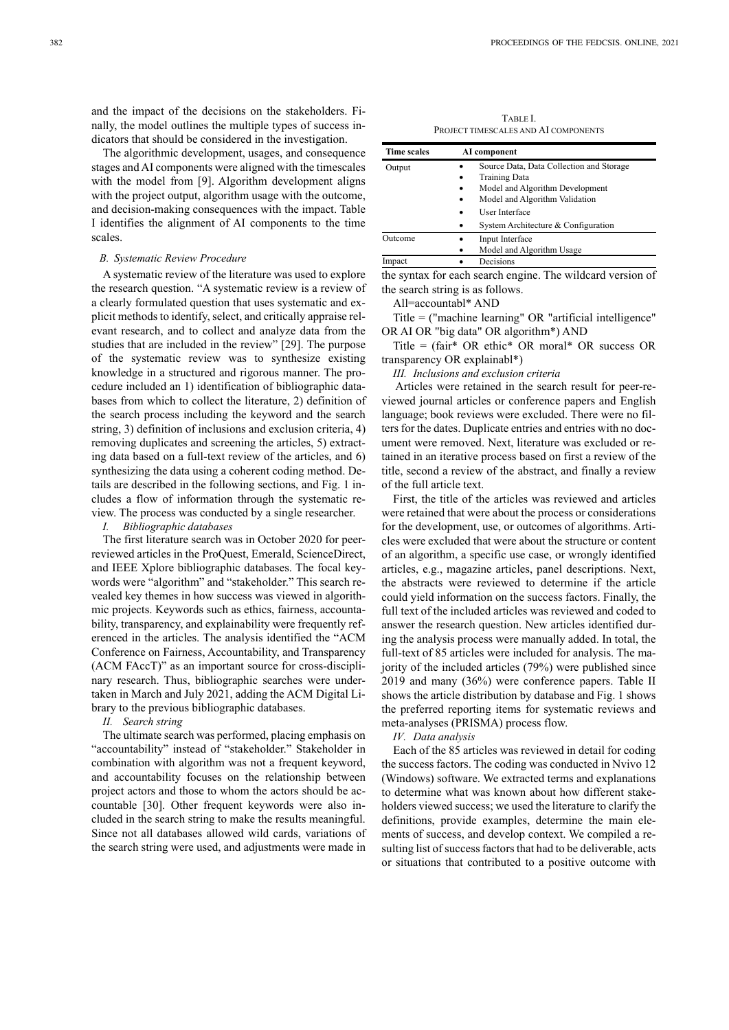and the impact of the decisions on the stakeholders. Finally, the model outlines the multiple types of success indicators that should be considered in the investigation.

The algorithmic development, usages, and consequence stages and AI components were aligned with the timescales with the model from [9]. Algorithm development aligns with the project output, algorithm usage with the outcome, and decision-making consequences with the impact. Table I identifies the alignment of AI components to the time scales.

# *B. Systematic Review Procedure*

A systematic review of the literature was used to explore the research question. "A systematic review is a review of a clearly formulated question that uses systematic and explicit methods to identify, select, and critically appraise relevant research, and to collect and analyze data from the studies that are included in the review" [29]. The purpose of the systematic review was to synthesize existing knowledge in a structured and rigorous manner. The procedure included an 1) identification of bibliographic databases from which to collect the literature, 2) definition of the search process including the keyword and the search string, 3) definition of inclusions and exclusion criteria, 4) removing duplicates and screening the articles, 5) extracting data based on a full-text review of the articles, and 6) synthesizing the data using a coherent coding method. Details are described in the following sections, and Fig. 1 includes a flow of information through the systematic review. The process was conducted by a single researcher.

# *I. Bibliographic databases*

The first literature search was in October 2020 for peerreviewed articles in the ProQuest, Emerald, ScienceDirect, and IEEE Xplore bibliographic databases. The focal keywords were "algorithm" and "stakeholder." This search revealed key themes in how success was viewed in algorithmic projects. Keywords such as ethics, fairness, accountability, transparency, and explainability were frequently referenced in the articles. The analysis identified the "ACM Conference on Fairness, Accountability, and Transparency (ACM FAccT)" as an important source for cross-disciplinary research. Thus, bibliographic searches were undertaken in March and July 2021, adding the ACM Digital Library to the previous bibliographic databases.

## *II. Search string*

The ultimate search was performed, placing emphasis on "accountability" instead of "stakeholder." Stakeholder in combination with algorithm was not a frequent keyword, and accountability focuses on the relationship between project actors and those to whom the actors should be accountable [30]. Other frequent keywords were also included in the search string to make the results meaningful. Since not all databases allowed wild cards, variations of the search string were used, and adjustments were made in

TABLE I. PROJECT TIMESCALES AND AI COMPONENTS

| <b>Time scales</b> |           | AI component                             |
|--------------------|-----------|------------------------------------------|
| Output             |           | Source Data, Data Collection and Storage |
|                    | ٠         | Training Data                            |
|                    | ٠         | Model and Algorithm Development          |
|                    | ٠         | Model and Algorithm Validation           |
|                    |           | User Interface                           |
|                    | ٠         | System Architecture & Configuration      |
| Outcome            | $\bullet$ | Input Interface                          |
|                    | $\bullet$ | Model and Algorithm Usage                |
| Impact             |           | Decisions                                |

the syntax for each search engine. The wildcard version of the search string is as follows.

All=accountabl\* AND

Title = ("machine learning" OR "artificial intelligence" OR AI OR "big data" OR algorithm\*) AND

Title = (fair\* OR ethic\* OR moral\* OR success OR transparency OR explainabl\*)

*III. Inclusions and exclusion criteria* 

 Articles were retained in the search result for peer-reviewed journal articles or conference papers and English language; book reviews were excluded. There were no filters for the dates. Duplicate entries and entries with no document were removed. Next, literature was excluded or retained in an iterative process based on first a review of the title, second a review of the abstract, and finally a review of the full article text.

First, the title of the articles was reviewed and articles were retained that were about the process or considerations for the development, use, or outcomes of algorithms. Articles were excluded that were about the structure or content of an algorithm, a specific use case, or wrongly identified articles, e.g., magazine articles, panel descriptions. Next, the abstracts were reviewed to determine if the article could yield information on the success factors. Finally, the full text of the included articles was reviewed and coded to answer the research question. New articles identified during the analysis process were manually added. In total, the full-text of 85 articles were included for analysis. The majority of the included articles (79%) were published since 2019 and many (36%) were conference papers. Table II shows the article distribution by database and Fig. 1 shows the preferred reporting items for systematic reviews and meta-analyses (PRISMA) process flow.

#### *IV. Data analysis*

Each of the 85 articles was reviewed in detail for coding the success factors. The coding was conducted in Nvivo 12 (Windows) software. We extracted terms and explanations to determine what was known about how different stakeholders viewed success; we used the literature to clarify the definitions, provide examples, determine the main elements of success, and develop context. We compiled a resulting list of success factors that had to be deliverable, acts or situations that contributed to a positive outcome with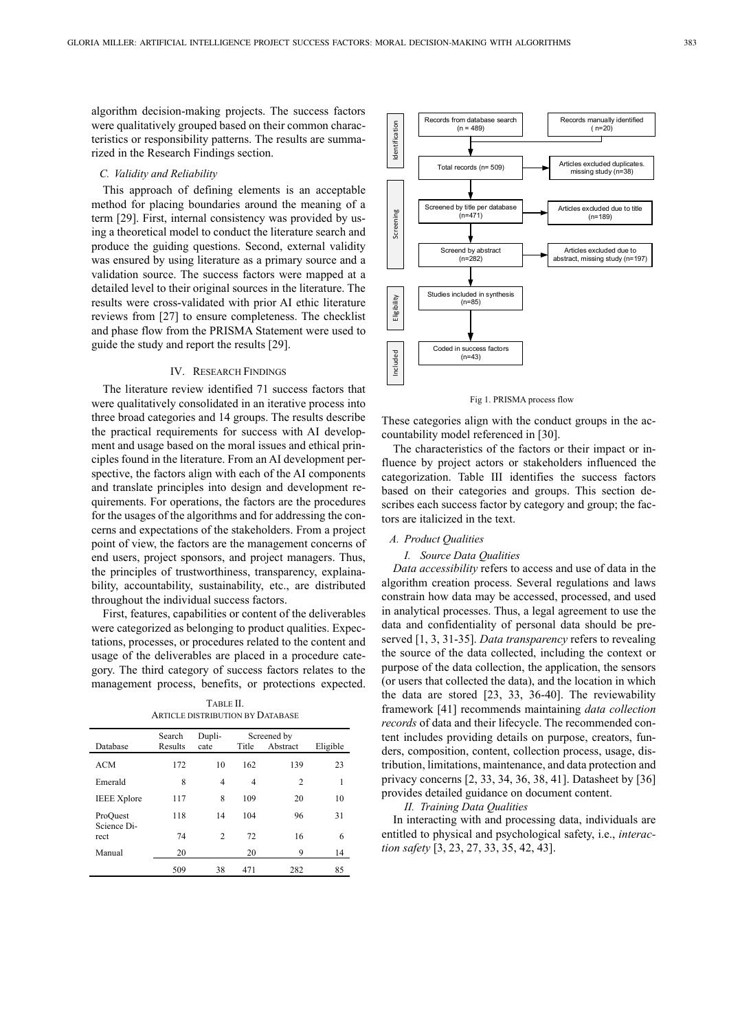algorithm decision-making projects. The success factors were qualitatively grouped based on their common characteristics or responsibility patterns. The results are summarized in the Research Findings section.

## *C. Validity and Reliability*

This approach of defining elements is an acceptable method for placing boundaries around the meaning of a term [29]. First, internal consistency was provided by using a theoretical model to conduct the literature search and produce the guiding questions. Second, external validity was ensured by using literature as a primary source and a validation source. The success factors were mapped at a detailed level to their original sources in the literature. The results were cross-validated with prior AI ethic literature reviews from [27] to ensure completeness. The checklist and phase flow from the PRISMA Statement were used to guide the study and report the results [29].

## IV. RESEARCH FINDINGS

The literature review identified 71 success factors that were qualitatively consolidated in an iterative process into three broad categories and 14 groups. The results describe the practical requirements for success with AI development and usage based on the moral issues and ethical principles found in the literature. From an AI development perspective, the factors align with each of the AI components and translate principles into design and development requirements. For operations, the factors are the procedures for the usages of the algorithms and for addressing the concerns and expectations of the stakeholders. From a project point of view, the factors are the management concerns of end users, project sponsors, and project managers. Thus, the principles of trustworthiness, transparency, explainability, accountability, sustainability, etc., are distributed throughout the individual success factors.

First, features, capabilities or content of the deliverables were categorized as belonging to product qualities. Expectations, processes, or procedures related to the content and usage of the deliverables are placed in a procedure category. The third category of success factors relates to the management process, benefits, or protections expected.

TABLE II. ARTICLE DISTRIBUTION BY DATABASE

| Database                        | Search<br>Results | Dupli-<br>cate | Title | Screened by<br>Abstract | Eligible |
|---------------------------------|-------------------|----------------|-------|-------------------------|----------|
| <b>ACM</b>                      | 172               | 10             | 162   | 139                     | 23       |
| Emerald                         | 8                 | $\overline{4}$ | 4     | $\overline{c}$          | 1        |
| <b>IEEE</b> Xplore              | 117               | 8              | 109   | 20                      | 10       |
| ProQuest<br>Science Di-<br>rect | 118               | 14             | 104   | 96                      | 31       |
|                                 | 74                | $\overline{c}$ | 72    | 16                      | 6        |
| Manual                          | 20                |                | 20    | 9                       | 14       |
|                                 | 509               | 38             | 471   | 282                     | 85       |



Fig 1. PRISMA process flow

These categories align with the conduct groups in the accountability model referenced in [30].

The characteristics of the factors or their impact or influence by project actors or stakeholders influenced the categorization. Table III identifies the success factors based on their categories and groups. This section describes each success factor by category and group; the factors are italicized in the text.

# *A. Product Qualities*

#### *I. Source Data Qualities*

*Data accessibility* refers to access and use of data in the algorithm creation process. Several regulations and laws constrain how data may be accessed, processed, and used in analytical processes. Thus, a legal agreement to use the data and confidentiality of personal data should be preserved [1, 3, 31-35]. *Data transparency* refers to revealing the source of the data collected, including the context or purpose of the data collection, the application, the sensors (or users that collected the data), and the location in which the data are stored [23, 33, 36-40]. The reviewability framework [41] recommends maintaining *data collection records* of data and their lifecycle. The recommended content includes providing details on purpose, creators, funders, composition, content, collection process, usage, distribution, limitations, maintenance, and data protection and privacy concerns [2, 33, 34, 36, 38, 41]. Datasheet by [36] provides detailed guidance on document content.

#### *II. Training Data Qualities*

In interacting with and processing data, individuals are entitled to physical and psychological safety, i.e., *interaction safety* [3, 23, 27, 33, 35, 42, 43].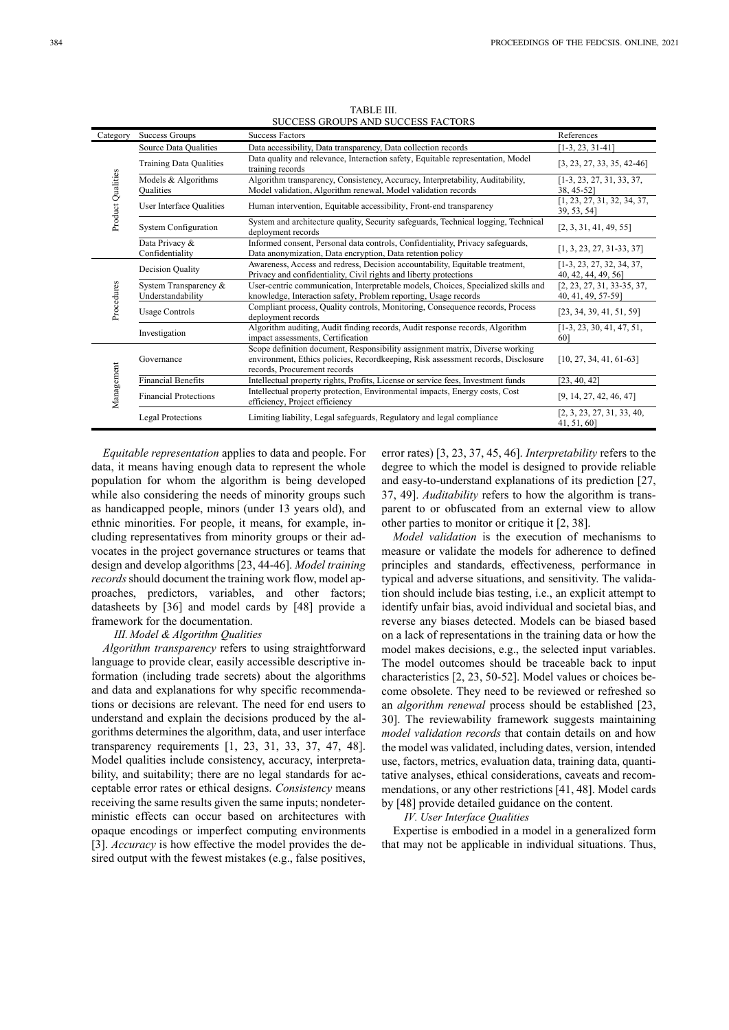|  | TABLE III. |                                    |  |
|--|------------|------------------------------------|--|
|  |            | SUCCESS GROUPS AND SUCCESS FACTORS |  |

| Category          | Success Groups                             | <b>Success Factors</b>                                                                                                                                                                           | References                                         |
|-------------------|--------------------------------------------|--------------------------------------------------------------------------------------------------------------------------------------------------------------------------------------------------|----------------------------------------------------|
| Product Qualities | Source Data Qualities                      | Data accessibility, Data transparency, Data collection records                                                                                                                                   | $[1-3, 23, 31-41]$                                 |
|                   | <b>Training Data Qualities</b>             | Data quality and relevance, Interaction safety, Equitable representation, Model<br>training records                                                                                              | $[3, 23, 27, 33, 35, 42-46]$                       |
|                   | Models & Algorithms<br><b>Qualities</b>    | Algorithm transparency, Consistency, Accuracy, Interpretability, Auditability,<br>Model validation, Algorithm renewal, Model validation records                                                  | $[1-3, 23, 27, 31, 33, 37,$<br>38, 45-52]          |
|                   | User Interface Qualities                   | Human intervention, Equitable accessibility, Front-end transparency                                                                                                                              | [1, 23, 27, 31, 32, 34, 37,<br>39, 53, 54]         |
|                   | <b>System Configuration</b>                | System and architecture quality, Security safeguards, Technical logging, Technical<br>deployment records                                                                                         | [2, 3, 31, 41, 49, 55]                             |
|                   | Data Privacy &<br>Confidentiality          | Informed consent, Personal data controls, Confidentiality, Privacy safeguards,<br>Data anonymization, Data encryption, Data retention policy                                                     | $[1, 3, 23, 27, 31-33, 37]$                        |
| Procedures        | Decision Quality                           | Awareness, Access and redress, Decision accountability, Equitable treatment,<br>Privacy and confidentiality, Civil rights and liberty protections                                                | $[1-3, 23, 27, 32, 34, 37,$<br>40, 42, 44, 49, 56] |
|                   | System Transparency &<br>Understandability | User-centric communication, Interpretable models, Choices, Specialized skills and<br>knowledge, Interaction safety, Problem reporting, Usage records                                             | $[2, 23, 27, 31, 33-35, 37,$<br>40, 41, 49, 57-59] |
|                   | <b>Usage Controls</b>                      | Compliant process, Quality controls, Monitoring, Consequence records, Process<br>deployment records                                                                                              | [23, 34, 39, 41, 51, 59]                           |
|                   | Investigation                              | Algorithm auditing, Audit finding records, Audit response records, Algorithm<br>impact assessments, Certification                                                                                | $[1-3, 23, 30, 41, 47, 51,$<br>601                 |
| Management        | Governance                                 | Scope definition document, Responsibility assignment matrix, Diverse working<br>environment, Ethics policies, Recordkeeping, Risk assessment records, Disclosure<br>records, Procurement records | $[10, 27, 34, 41, 61-63]$                          |
|                   | <b>Financial Benefits</b>                  | Intellectual property rights, Profits, License or service fees, Investment funds                                                                                                                 | [23, 40, 42]                                       |
|                   | <b>Financial Protections</b>               | Intellectual property protection, Environmental impacts, Energy costs, Cost<br>efficiency, Project efficiency                                                                                    | [9, 14, 27, 42, 46, 47]                            |
|                   | Legal Protections                          | Limiting liability, Legal safeguards, Regulatory and legal compliance                                                                                                                            | [2, 3, 23, 27, 31, 33, 40,<br>41, 51, 60]          |

*Equitable representation* applies to data and people. For data, it means having enough data to represent the whole population for whom the algorithm is being developed while also considering the needs of minority groups such as handicapped people, minors (under 13 years old), and ethnic minorities. For people, it means, for example, including representatives from minority groups or their advocates in the project governance structures or teams that design and develop algorithms [23, 44-46]. *Model training records* should document the training work flow, model approaches, predictors, variables, and other factors; datasheets by [36] and model cards by [48] provide a framework for the documentation.

#### *III. Model & Algorithm Qualities*

*Algorithm transparency* refers to using straightforward language to provide clear, easily accessible descriptive information (including trade secrets) about the algorithms and data and explanations for why specific recommendations or decisions are relevant. The need for end users to understand and explain the decisions produced by the algorithms determines the algorithm, data, and user interface transparency requirements [1, 23, 31, 33, 37, 47, 48]. Model qualities include consistency, accuracy, interpretability, and suitability; there are no legal standards for acceptable error rates or ethical designs. *Consistency* means receiving the same results given the same inputs; nondeterministic effects can occur based on architectures with opaque encodings or imperfect computing environments [3]. *Accuracy* is how effective the model provides the desired output with the fewest mistakes (e.g., false positives,

error rates) [3, 23, 37, 45, 46]. *Interpretability* refers to the degree to which the model is designed to provide reliable and easy-to-understand explanations of its prediction [27, 37, 49]. *Auditability* refers to how the algorithm is transparent to or obfuscated from an external view to allow other parties to monitor or critique it [2, 38].

*Model validation* is the execution of mechanisms to measure or validate the models for adherence to defined principles and standards, effectiveness, performance in typical and adverse situations, and sensitivity. The validation should include bias testing, i.e., an explicit attempt to identify unfair bias, avoid individual and societal bias, and reverse any biases detected. Models can be biased based on a lack of representations in the training data or how the model makes decisions, e.g., the selected input variables. The model outcomes should be traceable back to input characteristics [2, 23, 50-52]. Model values or choices become obsolete. They need to be reviewed or refreshed so an *algorithm renewal* process should be established [23, 30]. The reviewability framework suggests maintaining *model validation records* that contain details on and how the model was validated, including dates, version, intended use, factors, metrics, evaluation data, training data, quantitative analyses, ethical considerations, caveats and recommendations, or any other restrictions [41, 48]. Model cards by [48] provide detailed guidance on the content.

#### *IV. User Interface Qualities*

Expertise is embodied in a model in a generalized form that may not be applicable in individual situations. Thus,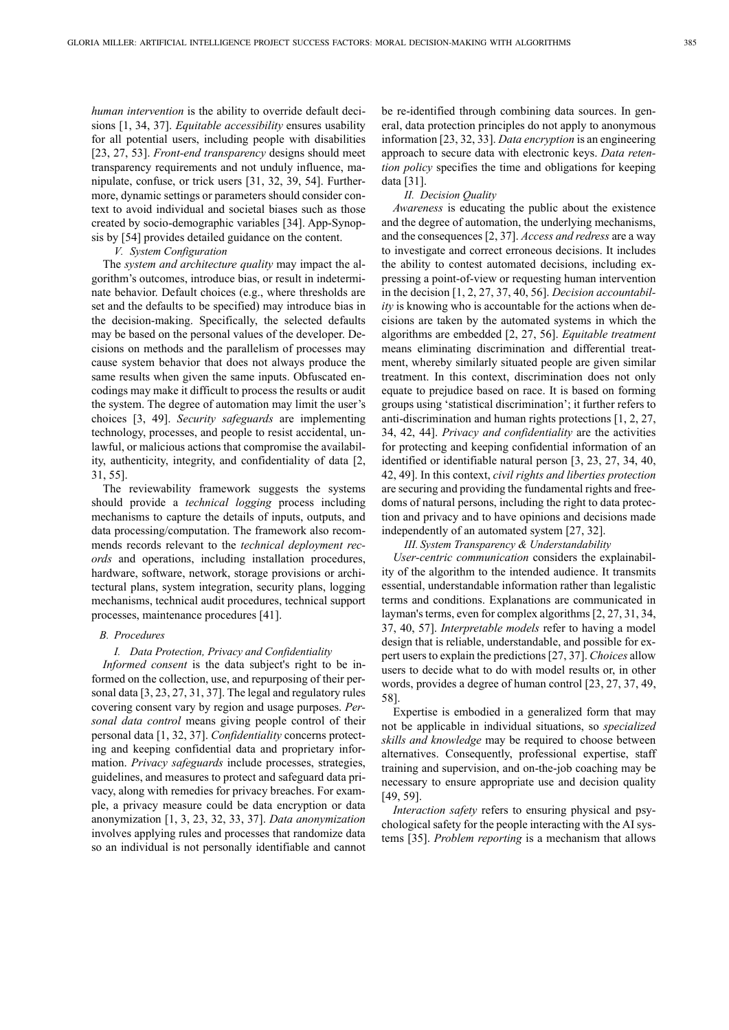*human intervention* is the ability to override default decisions [1, 34, 37]. *Equitable accessibility* ensures usability for all potential users, including people with disabilities [23, 27, 53]. *Front-end transparency* designs should meet transparency requirements and not unduly influence, manipulate, confuse, or trick users [31, 32, 39, 54]. Furthermore, dynamic settings or parameters should consider context to avoid individual and societal biases such as those created by socio-demographic variables [34]. App-Synopsis by [54] provides detailed guidance on the content.

#### *V. System Configuration*

The *system and architecture quality* may impact the algorithm's outcomes, introduce bias, or result in indeterminate behavior. Default choices (e.g., where thresholds are set and the defaults to be specified) may introduce bias in the decision-making. Specifically, the selected defaults may be based on the personal values of the developer. Decisions on methods and the parallelism of processes may cause system behavior that does not always produce the same results when given the same inputs. Obfuscated encodings may make it difficult to process the results or audit the system. The degree of automation may limit the user's choices [3, 49]. *Security safeguards* are implementing technology, processes, and people to resist accidental, unlawful, or malicious actions that compromise the availability, authenticity, integrity, and confidentiality of data [2, 31, 55].

The reviewability framework suggests the systems should provide a *technical logging* process including mechanisms to capture the details of inputs, outputs, and data processing/computation. The framework also recommends records relevant to the *technical deployment records* and operations, including installation procedures, hardware, software, network, storage provisions or architectural plans, system integration, security plans, logging mechanisms, technical audit procedures, technical support processes, maintenance procedures [41].

# *B. Procedures*

## *I. Data Protection, Privacy and Confidentiality*

*Informed consent* is the data subject's right to be informed on the collection, use, and repurposing of their personal data [3, 23, 27, 31, 37]. The legal and regulatory rules covering consent vary by region and usage purposes. *Personal data control* means giving people control of their personal data [1, 32, 37]. *Confidentiality* concerns protecting and keeping confidential data and proprietary information. *Privacy safeguards* include processes, strategies, guidelines, and measures to protect and safeguard data privacy, along with remedies for privacy breaches. For example, a privacy measure could be data encryption or data anonymization [1, 3, 23, 32, 33, 37]. *Data anonymization* involves applying rules and processes that randomize data so an individual is not personally identifiable and cannot

be re-identified through combining data sources. In general, data protection principles do not apply to anonymous information [23, 32, 33]. *Data encryption* is an engineering approach to secure data with electronic keys. *Data retention policy* specifies the time and obligations for keeping data [31].

#### *II. Decision Quality*

*Awareness* is educating the public about the existence and the degree of automation, the underlying mechanisms, and the consequences [2, 37]. *Access and redress* are a way to investigate and correct erroneous decisions. It includes the ability to contest automated decisions, including expressing a point-of-view or requesting human intervention in the decision [1, 2, 27, 37, 40, 56]. *Decision accountability* is knowing who is accountable for the actions when decisions are taken by the automated systems in which the algorithms are embedded [2, 27, 56]. *Equitable treatment* means eliminating discrimination and differential treatment, whereby similarly situated people are given similar treatment. In this context, discrimination does not only equate to prejudice based on race. It is based on forming groups using 'statistical discrimination'; it further refers to anti-discrimination and human rights protections [1, 2, 27, 34, 42, 44]. *Privacy and confidentiality* are the activities for protecting and keeping confidential information of an identified or identifiable natural person [3, 23, 27, 34, 40, 42, 49]. In this context, *civil rights and liberties protection* are securing and providing the fundamental rights and freedoms of natural persons, including the right to data protection and privacy and to have opinions and decisions made independently of an automated system [27, 32].

*III. System Transparency & Understandability* 

*User-centric communication* considers the explainability of the algorithm to the intended audience. It transmits essential, understandable information rather than legalistic terms and conditions. Explanations are communicated in layman's terms, even for complex algorithms [2, 27, 31, 34, 37, 40, 57]. *Interpretable models* refer to having a model design that is reliable, understandable, and possible for expert users to explain the predictions [27, 37]. *Choices* allow users to decide what to do with model results or, in other words, provides a degree of human control [23, 27, 37, 49, 58].

Expertise is embodied in a generalized form that may not be applicable in individual situations, so *specialized skills and knowledge* may be required to choose between alternatives. Consequently, professional expertise, staff training and supervision, and on-the-job coaching may be necessary to ensure appropriate use and decision quality [49, 59].

*Interaction safety* refers to ensuring physical and psychological safety for the people interacting with the AI systems [35]. *Problem reporting* is a mechanism that allows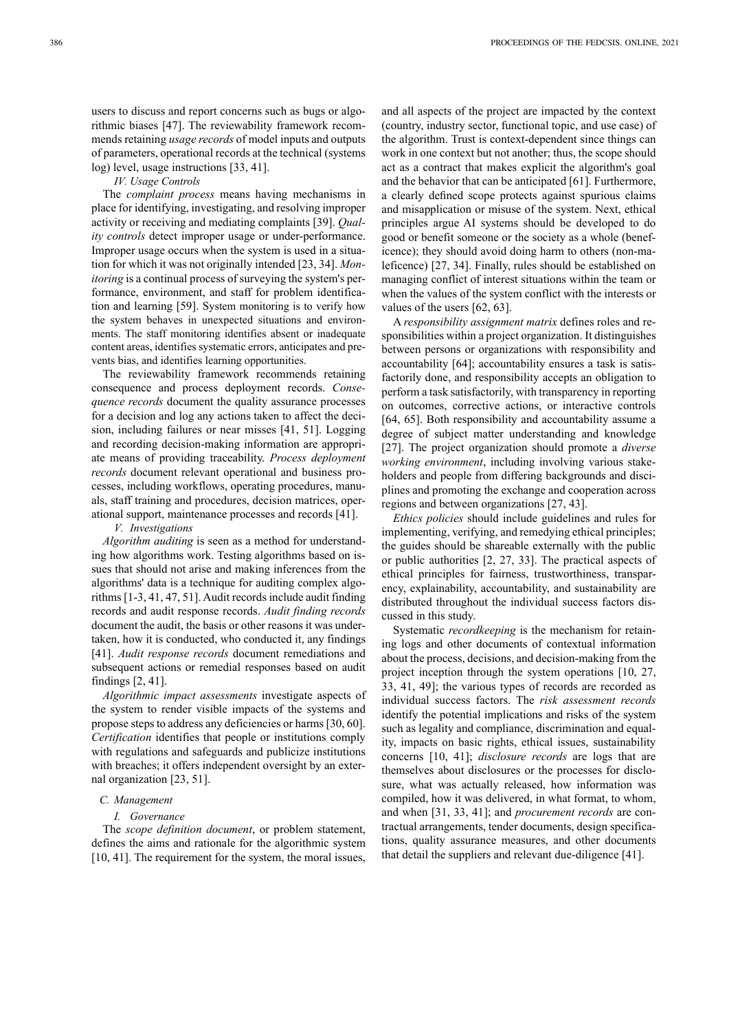users to discuss and report concerns such as bugs or algorithmic biases [47]. The reviewability framework recommends retaining *usage records* of model inputs and outputs of parameters, operational records at the technical (systems log) level, usage instructions [33, 41].

#### *IV. Usage Controls*

The *complaint process* means having mechanisms in place for identifying, investigating, and resolving improper activity or receiving and mediating complaints [39]. *Quality controls* detect improper usage or under-performance. Improper usage occurs when the system is used in a situation for which it was not originally intended [23, 34]. *Monitoring* is a continual process of surveying the system's performance, environment, and staff for problem identification and learning [59]. System monitoring is to verify how the system behaves in unexpected situations and environments. The staff monitoring identifies absent or inadequate content areas, identifies systematic errors, anticipates and prevents bias, and identifies learning opportunities.

The reviewability framework recommends retaining consequence and process deployment records. *Consequence records* document the quality assurance processes for a decision and log any actions taken to affect the decision, including failures or near misses [41, 51]. Logging and recording decision-making information are appropriate means of providing traceability. *Process deployment records* document relevant operational and business processes, including workflows, operating procedures, manuals, staff training and procedures, decision matrices, operational support, maintenance processes and records [41].

## *V. Investigations*

*Algorithm auditing* is seen as a method for understanding how algorithms work. Testing algorithms based on issues that should not arise and making inferences from the algorithms' data is a technique for auditing complex algorithms [1-3, 41, 47, 51]. Audit records include audit finding records and audit response records. *Audit finding records* document the audit, the basis or other reasons it was undertaken, how it is conducted, who conducted it, any findings [41]. *Audit response records* document remediations and subsequent actions or remedial responses based on audit findings [2, 41].

*Algorithmic impact assessments* investigate aspects of the system to render visible impacts of the systems and propose steps to address any deficiencies or harms [30, 60]. *Certification* identifies that people or institutions comply with regulations and safeguards and publicize institutions with breaches; it offers independent oversight by an external organization [23, 51].

## *C. Management*

#### *I. Governance*

The *scope definition document*, or problem statement, defines the aims and rationale for the algorithmic system [10, 41]. The requirement for the system, the moral issues,

and all aspects of the project are impacted by the context (country, industry sector, functional topic, and use case) of the algorithm. Trust is context-dependent since things can work in one context but not another; thus, the scope should act as a contract that makes explicit the algorithm's goal and the behavior that can be anticipated [61]. Furthermore, a clearly defined scope protects against spurious claims and misapplication or misuse of the system. Next, ethical principles argue AI systems should be developed to do good or benefit someone or the society as a whole (beneficence); they should avoid doing harm to others (non-maleficence) [27, 34]. Finally, rules should be established on managing conflict of interest situations within the team or when the values of the system conflict with the interests or values of the users [62, 63].

A *responsibility assignment matrix* defines roles and responsibilities within a project organization. It distinguishes between persons or organizations with responsibility and accountability [64]; accountability ensures a task is satisfactorily done, and responsibility accepts an obligation to perform a task satisfactorily, with transparency in reporting on outcomes, corrective actions, or interactive controls [64, 65]. Both responsibility and accountability assume a degree of subject matter understanding and knowledge [27]. The project organization should promote a *diverse working environment*, including involving various stakeholders and people from differing backgrounds and disciplines and promoting the exchange and cooperation across regions and between organizations [27, 43].

*Ethics policies* should include guidelines and rules for implementing, verifying, and remedying ethical principles; the guides should be shareable externally with the public or public authorities [2, 27, 33]. The practical aspects of ethical principles for fairness, trustworthiness, transparency, explainability, accountability, and sustainability are distributed throughout the individual success factors discussed in this study.

Systematic *recordkeeping* is the mechanism for retaining logs and other documents of contextual information about the process, decisions, and decision-making from the project inception through the system operations [10, 27, 33, 41, 49]; the various types of records are recorded as individual success factors. The *risk assessment records* identify the potential implications and risks of the system such as legality and compliance, discrimination and equality, impacts on basic rights, ethical issues, sustainability concerns [10, 41]; *disclosure records* are logs that are themselves about disclosures or the processes for disclosure, what was actually released, how information was compiled, how it was delivered, in what format, to whom, and when [31, 33, 41]; and *procurement records* are contractual arrangements, tender documents, design specifications, quality assurance measures, and other documents that detail the suppliers and relevant due-diligence [41].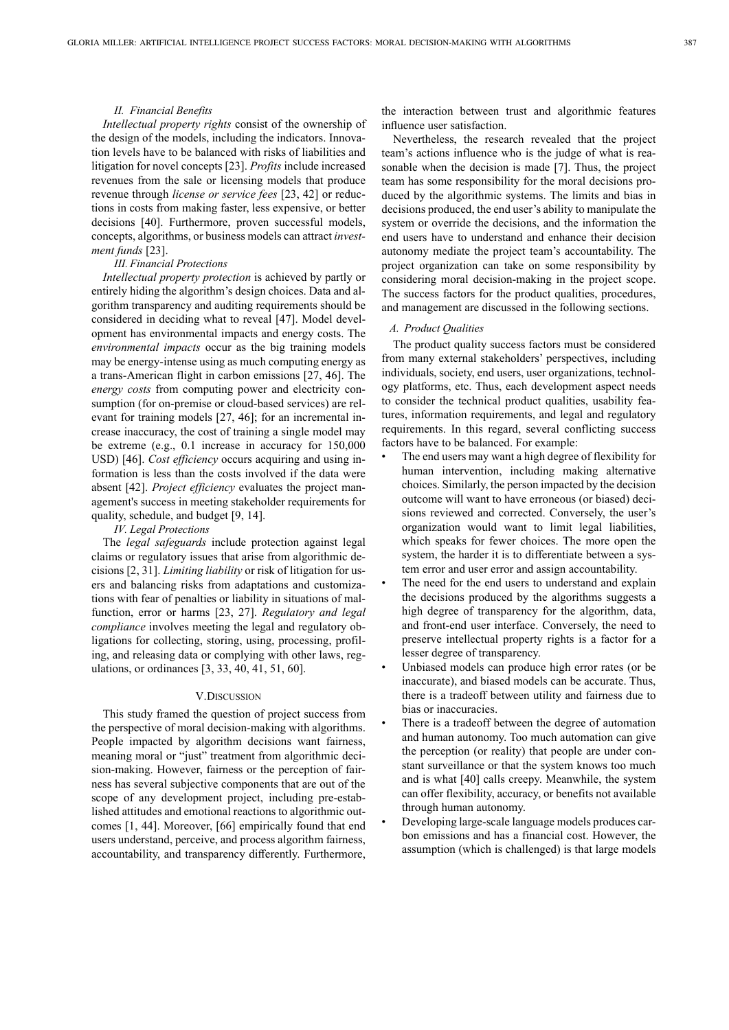# *II. Financial Benefits*

*Intellectual property rights* consist of the ownership of the design of the models, including the indicators. Innovation levels have to be balanced with risks of liabilities and litigation for novel concepts [23]. *Profits* include increased revenues from the sale or licensing models that produce revenue through *license or service fees* [23, 42] or reductions in costs from making faster, less expensive, or better decisions [40]. Furthermore, proven successful models, concepts, algorithms, or business models can attract *investment funds* [23].

#### *III. Financial Protections*

*Intellectual property protection* is achieved by partly or entirely hiding the algorithm's design choices. Data and algorithm transparency and auditing requirements should be considered in deciding what to reveal [47]. Model development has environmental impacts and energy costs. The *environmental impacts* occur as the big training models may be energy-intense using as much computing energy as a trans-American flight in carbon emissions [27, 46]. The *energy costs* from computing power and electricity consumption (for on-premise or cloud-based services) are relevant for training models [27, 46]; for an incremental increase inaccuracy, the cost of training a single model may be extreme (e.g., 0.1 increase in accuracy for 150,000 USD) [46]. *Cost efficiency* occurs acquiring and using information is less than the costs involved if the data were absent [42]. *Project efficiency* evaluates the project management's success in meeting stakeholder requirements for quality, schedule, and budget [9, 14].

# *IV. Legal Protections*

The *legal safeguards* include protection against legal claims or regulatory issues that arise from algorithmic decisions [2, 31]. *Limiting liability* or risk of litigation for users and balancing risks from adaptations and customizations with fear of penalties or liability in situations of malfunction, error or harms [23, 27]. *Regulatory and legal compliance* involves meeting the legal and regulatory obligations for collecting, storing, using, processing, profiling, and releasing data or complying with other laws, regulations, or ordinances [3, 33, 40, 41, 51, 60].

#### V.DISCUSSION

This study framed the question of project success from the perspective of moral decision-making with algorithms. People impacted by algorithm decisions want fairness, meaning moral or "just" treatment from algorithmic decision-making. However, fairness or the perception of fairness has several subjective components that are out of the scope of any development project, including pre-established attitudes and emotional reactions to algorithmic outcomes [1, 44]. Moreover, [66] empirically found that end users understand, perceive, and process algorithm fairness, accountability, and transparency differently. Furthermore, the interaction between trust and algorithmic features influence user satisfaction.

Nevertheless, the research revealed that the project team's actions influence who is the judge of what is reasonable when the decision is made [7]. Thus, the project team has some responsibility for the moral decisions produced by the algorithmic systems. The limits and bias in decisions produced, the end user's ability to manipulate the system or override the decisions, and the information the end users have to understand and enhance their decision autonomy mediate the project team's accountability. The project organization can take on some responsibility by considering moral decision-making in the project scope. The success factors for the product qualities, procedures, and management are discussed in the following sections.

#### *A. Product Qualities*

The product quality success factors must be considered from many external stakeholders' perspectives, including individuals, society, end users, user organizations, technology platforms, etc. Thus, each development aspect needs to consider the technical product qualities, usability features, information requirements, and legal and regulatory requirements. In this regard, several conflicting success factors have to be balanced. For example:

- The end users may want a high degree of flexibility for human intervention, including making alternative choices. Similarly, the person impacted by the decision outcome will want to have erroneous (or biased) decisions reviewed and corrected. Conversely, the user's organization would want to limit legal liabilities, which speaks for fewer choices. The more open the system, the harder it is to differentiate between a system error and user error and assign accountability.
- The need for the end users to understand and explain the decisions produced by the algorithms suggests a high degree of transparency for the algorithm, data, and front-end user interface. Conversely, the need to preserve intellectual property rights is a factor for a lesser degree of transparency.
- Unbiased models can produce high error rates (or be inaccurate), and biased models can be accurate. Thus, there is a tradeoff between utility and fairness due to bias or inaccuracies.
- There is a tradeoff between the degree of automation and human autonomy. Too much automation can give the perception (or reality) that people are under constant surveillance or that the system knows too much and is what [40] calls creepy. Meanwhile, the system can offer flexibility, accuracy, or benefits not available through human autonomy.
- Developing large-scale language models produces carbon emissions and has a financial cost. However, the assumption (which is challenged) is that large models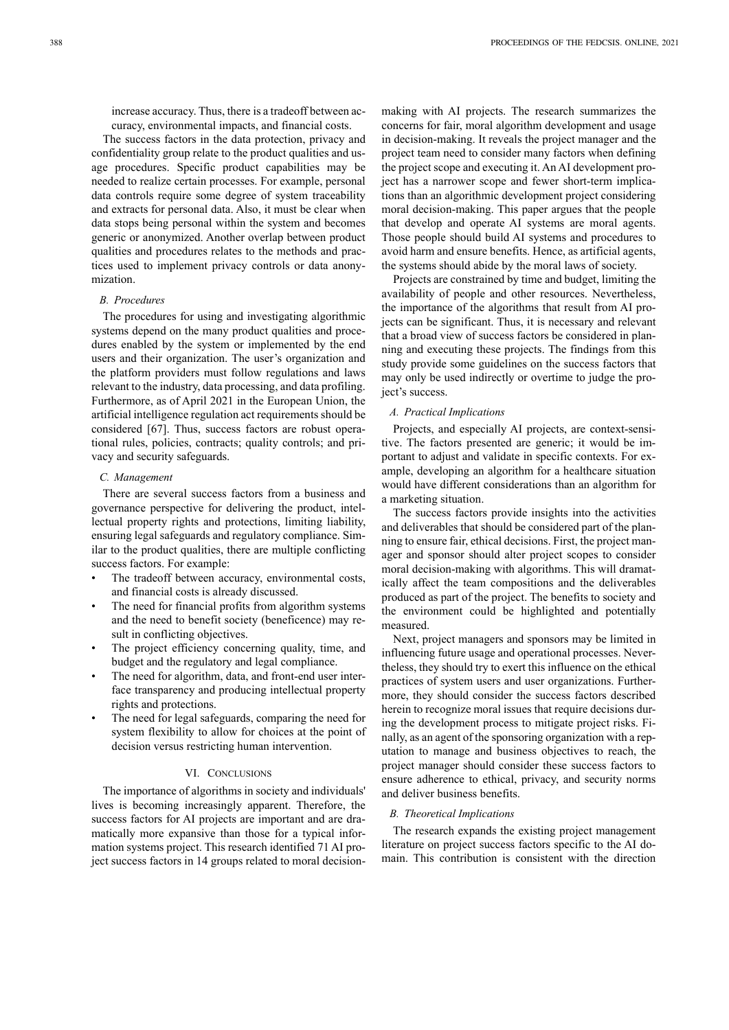increase accuracy. Thus, there is a tradeoff between accuracy, environmental impacts, and financial costs.

The success factors in the data protection, privacy and confidentiality group relate to the product qualities and usage procedures. Specific product capabilities may be needed to realize certain processes. For example, personal data controls require some degree of system traceability and extracts for personal data. Also, it must be clear when data stops being personal within the system and becomes generic or anonymized. Another overlap between product qualities and procedures relates to the methods and practices used to implement privacy controls or data anonymization.

# *B. Procedures*

The procedures for using and investigating algorithmic systems depend on the many product qualities and procedures enabled by the system or implemented by the end users and their organization. The user's organization and the platform providers must follow regulations and laws relevant to the industry, data processing, and data profiling. Furthermore, as of April 2021 in the European Union, the artificial intelligence regulation act requirements should be considered [67]. Thus, success factors are robust operational rules, policies, contracts; quality controls; and privacy and security safeguards.

# *C. Management*

There are several success factors from a business and governance perspective for delivering the product, intellectual property rights and protections, limiting liability, ensuring legal safeguards and regulatory compliance. Similar to the product qualities, there are multiple conflicting success factors. For example:

- The tradeoff between accuracy, environmental costs, and financial costs is already discussed.
- The need for financial profits from algorithm systems and the need to benefit society (beneficence) may result in conflicting objectives.
- The project efficiency concerning quality, time, and budget and the regulatory and legal compliance.
- The need for algorithm, data, and front-end user interface transparency and producing intellectual property rights and protections.
- The need for legal safeguards, comparing the need for system flexibility to allow for choices at the point of decision versus restricting human intervention.

#### VI. CONCLUSIONS

The importance of algorithms in society and individuals' lives is becoming increasingly apparent. Therefore, the success factors for AI projects are important and are dramatically more expansive than those for a typical information systems project. This research identified 71 AI project success factors in 14 groups related to moral decisionmaking with AI projects. The research summarizes the concerns for fair, moral algorithm development and usage in decision-making. It reveals the project manager and the project team need to consider many factors when defining the project scope and executing it. An AI development project has a narrower scope and fewer short-term implications than an algorithmic development project considering moral decision-making. This paper argues that the people that develop and operate AI systems are moral agents. Those people should build AI systems and procedures to avoid harm and ensure benefits. Hence, as artificial agents, the systems should abide by the moral laws of society.

Projects are constrained by time and budget, limiting the availability of people and other resources. Nevertheless, the importance of the algorithms that result from AI projects can be significant. Thus, it is necessary and relevant that a broad view of success factors be considered in planning and executing these projects. The findings from this study provide some guidelines on the success factors that may only be used indirectly or overtime to judge the project's success.

# *A. Practical Implications*

Projects, and especially AI projects, are context-sensitive. The factors presented are generic; it would be important to adjust and validate in specific contexts. For example, developing an algorithm for a healthcare situation would have different considerations than an algorithm for a marketing situation.

The success factors provide insights into the activities and deliverables that should be considered part of the planning to ensure fair, ethical decisions. First, the project manager and sponsor should alter project scopes to consider moral decision-making with algorithms. This will dramatically affect the team compositions and the deliverables produced as part of the project. The benefits to society and the environment could be highlighted and potentially measured.

Next, project managers and sponsors may be limited in influencing future usage and operational processes. Nevertheless, they should try to exert this influence on the ethical practices of system users and user organizations. Furthermore, they should consider the success factors described herein to recognize moral issues that require decisions during the development process to mitigate project risks. Finally, as an agent of the sponsoring organization with a reputation to manage and business objectives to reach, the project manager should consider these success factors to ensure adherence to ethical, privacy, and security norms and deliver business benefits.

#### *B. Theoretical Implications*

The research expands the existing project management literature on project success factors specific to the AI domain. This contribution is consistent with the direction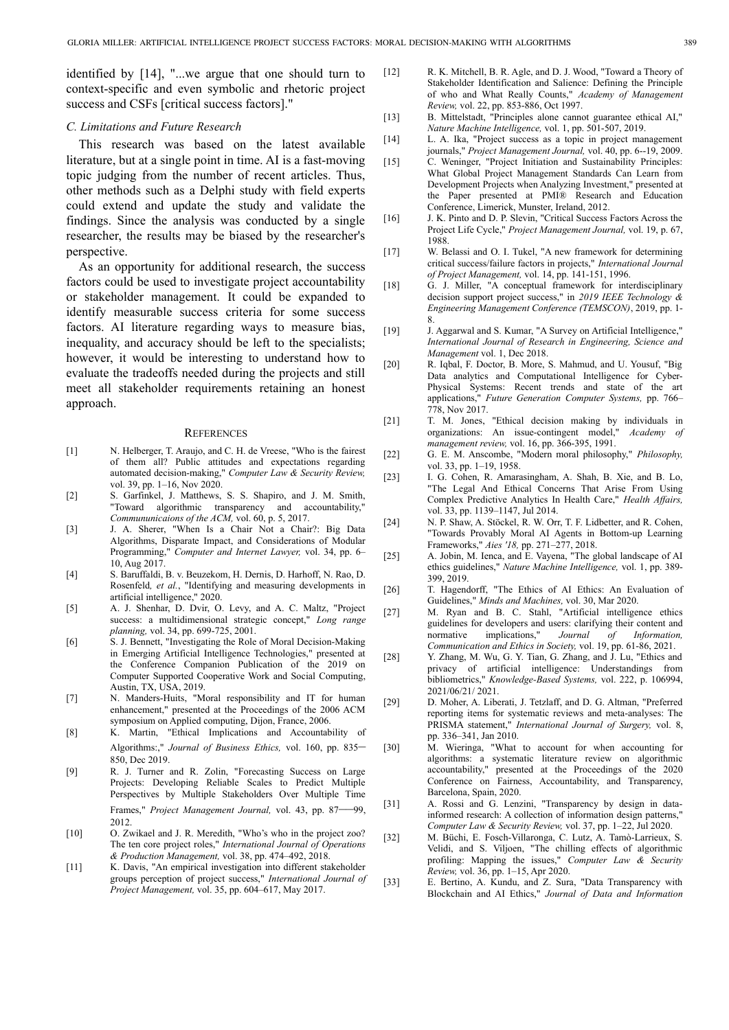identified by [14], "...we argue that one should turn to context-specific and even symbolic and rhetoric project success and CSFs [critical success factors]."

# *C. Limitations and Future Research*

This research was based on the latest available literature, but at a single point in time. AI is a fast-moving topic judging from the number of recent articles. Thus, other methods such as a Delphi study with field experts could extend and update the study and validate the findings. Since the analysis was conducted by a single researcher, the results may be biased by the researcher's perspective.

As an opportunity for additional research, the success factors could be used to investigate project accountability or stakeholder management. It could be expanded to identify measurable success criteria for some success factors. AI literature regarding ways to measure bias, inequality, and accuracy should be left to the specialists; however, it would be interesting to understand how to evaluate the tradeoffs needed during the projects and still meet all stakeholder requirements retaining an honest approach.

#### **REFERENCES**

- [1] N. Helberger, T. Araujo, and C. H. de Vreese, "Who is the fairest of them all? Public attitudes and expectations regarding automated decision-making," *Computer Law & Security Review,* vol. 39, pp. 1–16, Nov 2020.
- [2] S. Garfinkel, J. Matthews, S. S. Shapiro, and J. M. Smith, "Toward algorithmic transparency and accountability," *Commununicaions of the ACM,* vol. 60, p. 5, 2017.
- [3] J. A. Sherer, "When Is a Chair Not a Chair?: Big Data Algorithms, Disparate Impact, and Considerations of Modular Programming," *Computer and Internet Lawyer,* vol. 34, pp. 6– 10, Aug 2017.
- [4] S. Baruffaldi, B. v. Beuzekom, H. Dernis, D. Harhoff, N. Rao, D. Rosenfeld*, et al.*, "Identifying and measuring developments in artificial intelligence," 2020.
- [5] A. J. Shenhar, D. Dvir, O. Levy, and A. C. Maltz, "Project success: a multidimensional strategic concept," *Long range planning,* vol. 34, pp. 699-725, 2001.
- [6] S. J. Bennett, "Investigating the Role of Moral Decision-Making in Emerging Artificial Intelligence Technologies," presented at the Conference Companion Publication of the 2019 on Computer Supported Cooperative Work and Social Computing, Austin, TX, USA, 2019.
- [7] N. Manders-Huits, "Moral responsibility and IT for human enhancement," presented at the Proceedings of the 2006 ACM symposium on Applied computing, Dijon, France, 2006.
- [8] K. Martin, "Ethical Implications and Accountability of Algorithms:," *Journal of Business Ethics,* vol. 160, pp. 835– 850, Dec 2019.
- [9] R. J. Turner and R. Zolin, "Forecasting Success on Large Projects: Developing Reliable Scales to Predict Multiple Perspectives by Multiple Stakeholders Over Multiple Time Frames," Project Management Journal, vol. 43, pp. 87-2012.
- [10] O. Zwikael and J. R. Meredith, "Who's who in the project zoo? The ten core project roles," *International Journal of Operations & Production Management,* vol. 38, pp. 474–492, 2018.
- [11] K. Davis, "An empirical investigation into different stakeholder groups perception of project success," *International Journal of Project Management,* vol. 35, pp. 604–617, May 2017.
- [12] R. K. Mitchell, B. R. Agle, and D. J. Wood, "Toward a Theory of Stakeholder Identification and Salience: Defining the Principle of who and What Really Counts," *Academy of Management Review,* vol. 22, pp. 853-886, Oct 1997.
- [13] B. Mittelstadt, "Principles alone cannot guarantee ethical AI," *Nature Machine Intelligence,* vol. 1, pp. 501-507, 2019.
- [14] L. A. Ika, "Project success as a topic in project management journals," *Project Management Journal,* vol. 40, pp. 6--19, 2009.
- [15] C. Weninger, "Project Initiation and Sustainability Principles: What Global Project Management Standards Can Learn from Development Projects when Analyzing Investment," presented at the Paper presented at PMI® Research and Education Conference, Limerick, Munster, Ireland, 2012.
- [16] J. K. Pinto and D. P. Slevin, "Critical Success Factors Across the Project Life Cycle," *Project Management Journal,* vol. 19, p. 67, 1988.
- [17] W. Belassi and O. I. Tukel, "A new framework for determining critical success/failure factors in projects," *International Journal of Project Management,* vol. 14, pp. 141-151, 1996.
- [18] G. J. Miller, "A conceptual framework for interdisciplinary decision support project success," in *2019 IEEE Technology & Engineering Management Conference (TEMSCON)*, 2019, pp. 1- 8.
- [19] J. Aggarwal and S. Kumar, "A Survey on Artificial Intelligence," *International Journal of Research in Engineering, Science and Management* vol. 1, Dec 2018.
- [20] R. Iqbal, F. Doctor, B. More, S. Mahmud, and U. Yousuf, "Big Data analytics and Computational Intelligence for Cyber-Physical Systems: Recent trends and state of the art applications," *Future Generation Computer Systems,* pp. 766– 778, Nov 2017.
- [21] T. M. Jones, "Ethical decision making by individuals in organizations: An issue-contingent model," Academy of organizations: An issue-contingent model," *management review,* vol. 16, pp. 366-395, 1991.
- [22] G. E. M. Anscombe, "Modern moral philosophy," *Philosophy,* vol. 33, pp. 1–19, 1958.
- [23] I. G. Cohen, R. Amarasingham, A. Shah, B. Xie, and B. Lo, "The Legal And Ethical Concerns That Arise From Using Complex Predictive Analytics In Health Care," *Health Affairs,* vol. 33, pp. 1139–1147, Jul 2014.
- [24] N. P. Shaw, A. Stöckel, R. W. Orr, T. F. Lidbetter, and R. Cohen, "Towards Provably Moral AI Agents in Bottom-up Learning Frameworks," *Aies '18,* pp. 271–277, 2018.
- [25] A. Jobin, M. Ienca, and E. Vayena, "The global landscape of AI ethics guidelines," *Nature Machine Intelligence,* vol. 1, pp. 389- 399, 2019.
- [26] T. Hagendorff, "The Ethics of AI Ethics: An Evaluation of Guidelines," *Minds and Machines,* vol. 30, Mar 2020.
- [27] M. Ryan and B. C. Stahl, "Artificial intelligence ethics guidelines for developers and users: clarifying their content and normative implications," Journal of Information, normative implications," *Journal of Information, Communication and Ethics in Society,* vol. 19, pp. 61-86, 2021.
- [28] Y. Zhang, M. Wu, G. Y. Tian, G. Zhang, and J. Lu, "Ethics and privacy of artificial intelligence: Understandings from bibliometrics," *Knowledge-Based Systems,* vol. 222, p. 106994, 2021/06/21/ 2021.
- [29] D. Moher, A. Liberati, J. Tetzlaff, and D. G. Altman, "Preferred reporting items for systematic reviews and meta-analyses: The PRISMA statement," *International Journal of Surgery,* vol. 8, pp. 336–341, Jan 2010.
- [30] M. Wieringa, "What to account for when accounting for algorithms: a systematic literature review on algorithmic accountability," presented at the Proceedings of the 2020 Conference on Fairness, Accountability, and Transparency, Barcelona, Spain, 2020.
- [31] A. Rossi and G. Lenzini, "Transparency by design in datainformed research: A collection of information design patterns," *Computer Law & Security Review,* vol. 37, pp. 1–22, Jul 2020.
- [32] M. Büchi, E. Fosch-Villaronga, C. Lutz, A. Tamò-Larrieux, S. Velidi, and S. Viljoen, "The chilling effects of algorithmic profiling: Mapping the issues," *Computer Law & Security Review,* vol. 36, pp. 1–15, Apr 2020.
- [33] E. Bertino, A. Kundu, and Z. Sura, "Data Transparency with Blockchain and AI Ethics," *Journal of Data and Information*